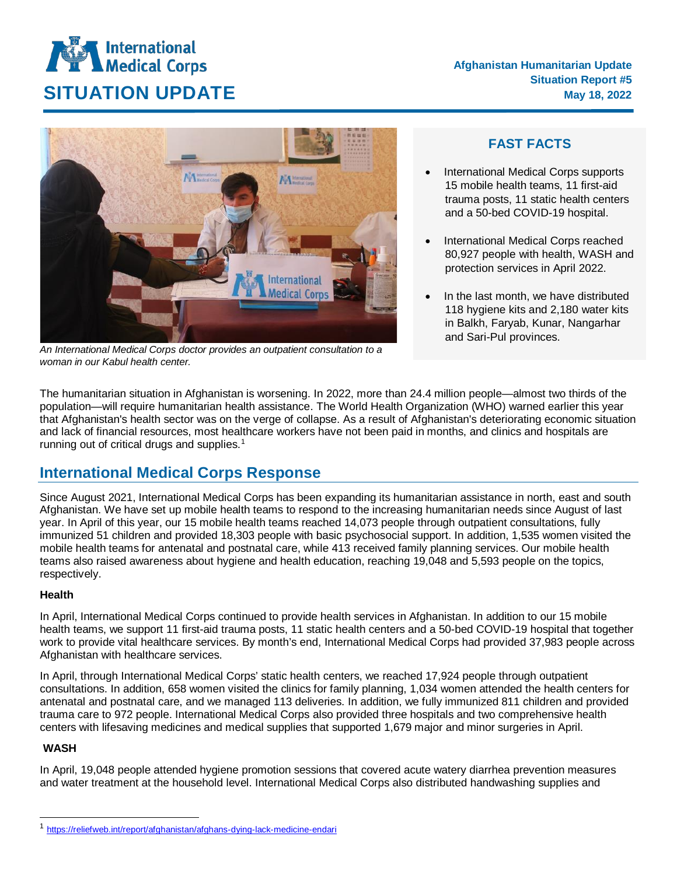# **International**<br>Medical Corps **SITUATION UPDATE** May 18, 2022



*An International Medical Corps doctor provides an outpatient consultation to a woman in our Kabul health center.*

### **FAST FACTS**

- International Medical Corps supports 15 mobile health teams, 11 first-aid trauma posts, 11 static health centers and a 50-bed COVID-19 hospital.
- International Medical Corps reached 80,927 people with health, WASH and protection services in April 2022.
- In the last month, we have distributed 118 hygiene kits and 2,180 water kits in Balkh, Faryab, Kunar, Nangarhar and Sari-Pul provinces.

The humanitarian situation in Afghanistan is worsening. In 2022, more than 24.4 million people—almost two thirds of the population—will require humanitarian health assistance. The World Health Organization (WHO) warned earlier this year that Afghanistan's health sector was on the verge of collapse. As a result of Afghanistan's deteriorating economic situation and lack of financial resources, most healthcare workers have not been paid in months, and clinics and hospitals are running out of critical drugs and supplies.<sup>[1](#page-0-0)</sup>

## **International Medical Corps Response**

Since August 2021, International Medical Corps has been expanding its humanitarian assistance in north, east and south Afghanistan. We have set up mobile health teams to respond to the increasing humanitarian needs since August of last year. In April of this year, our 15 mobile health teams reached 14,073 people through outpatient consultations, fully immunized 51 children and provided 18,303 people with basic psychosocial support. In addition, 1,535 women visited the mobile health teams for antenatal and postnatal care, while 413 received family planning services. Our mobile health teams also raised awareness about hygiene and health education, reaching 19,048 and 5,593 people on the topics, respectively.

#### **Health**

In April, International Medical Corps continued to provide health services in Afghanistan. In addition to our 15 mobile health teams, we support 11 first-aid trauma posts, 11 static health centers and a 50-bed COVID-19 hospital that together work to provide vital healthcare services. By month's end, International Medical Corps had provided 37,983 people across Afghanistan with healthcare services.

In April, through International Medical Corps' static health centers, we reached 17,924 people through outpatient consultations. In addition, 658 women visited the clinics for family planning, 1,034 women attended the health centers for antenatal and postnatal care, and we managed 113 deliveries. In addition, we fully immunized 811 children and provided trauma care to 972 people. International Medical Corps also provided three hospitals and two comprehensive health centers with lifesaving medicines and medical supplies that supported 1,679 major and minor surgeries in April.

#### **WASH**

In April, 19,048 people attended hygiene promotion sessions that covered acute watery diarrhea prevention measures and water treatment at the household level. International Medical Corps also distributed handwashing supplies and

<span id="page-0-0"></span> <sup>1</sup> <https://reliefweb.int/report/afghanistan/afghans-dying-lack-medicine-endari>